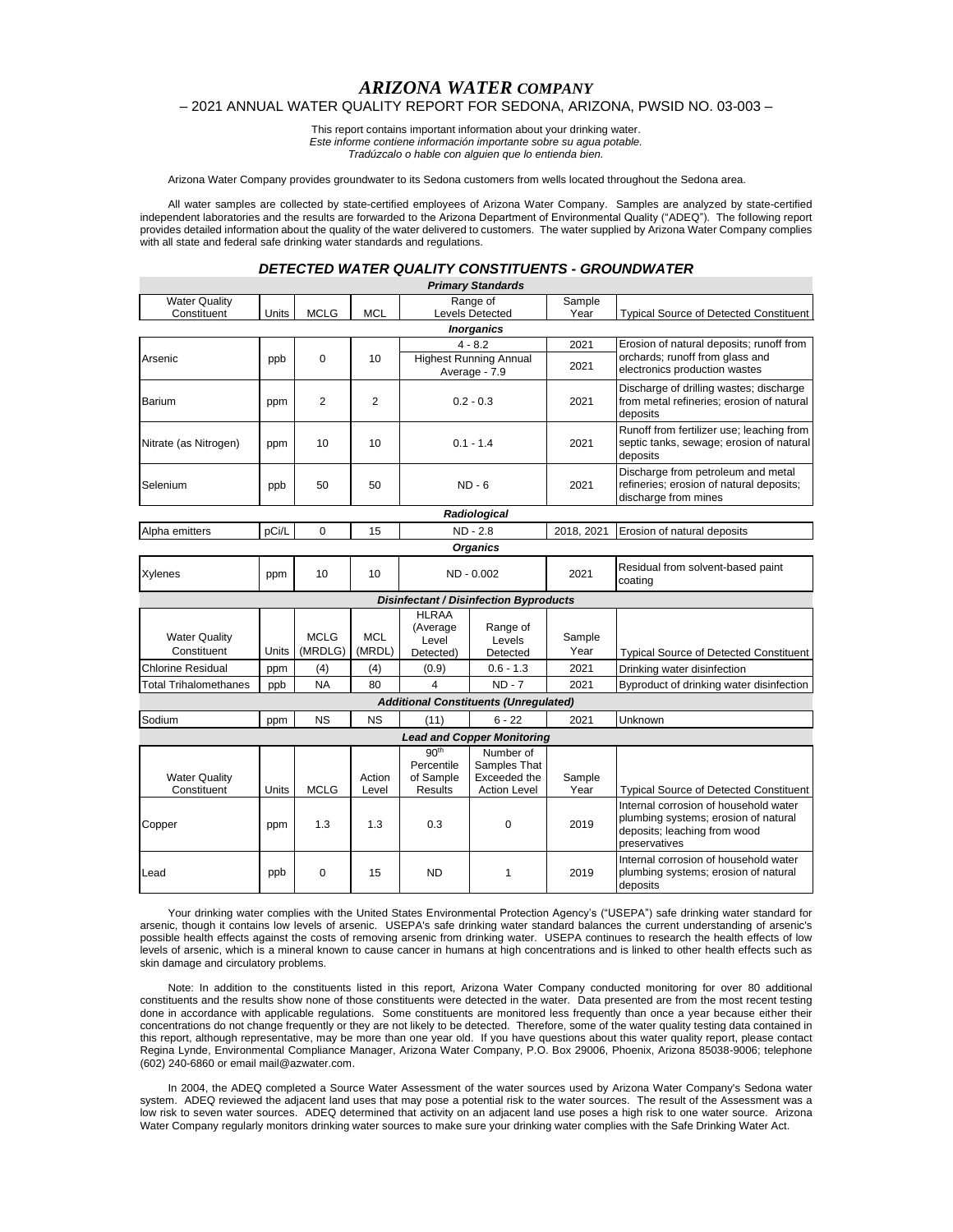# *ARIZONA WATER COMPANY*

## – 2021 ANNUAL WATER QUALITY REPORT FOR SEDONA, ARIZONA, PWSID NO. 03-003 –

This report contains important information about your drinking water. *Este informe contiene información importante sobre su agua potable.*

*Tradúzcalo o hable con alguien que lo entienda bien.*

Arizona Water Company provides groundwater to its Sedona customers from wells located throughout the Sedona area.

All water samples are collected by state-certified employees of Arizona Water Company. Samples are analyzed by state-certified independent laboratories and the results are forwarded to the Arizona Department of Environmental Quality ("ADEQ"). The following report provides detailed information about the quality of the water delivered to customers. The water supplied by Arizona Water Company complies with all state and federal safe drinking water standards and regulations.

## *DETECTED WATER QUALITY CONSTITUENTS - GROUNDWATER*

|                                     |            |                        |                      |                                                               | <b>Primary Standards</b>                                         |                |                                                                                                                                |
|-------------------------------------|------------|------------------------|----------------------|---------------------------------------------------------------|------------------------------------------------------------------|----------------|--------------------------------------------------------------------------------------------------------------------------------|
| <b>Water Quality</b>                |            |                        |                      |                                                               | Range of                                                         | Sample         |                                                                                                                                |
| Constituent                         | Units      | <b>MCLG</b>            | <b>MCL</b>           |                                                               | <b>Levels Detected</b>                                           | Year           | <b>Typical Source of Detected Constituent</b>                                                                                  |
|                                     |            |                        |                      |                                                               | <b>Inorganics</b>                                                |                |                                                                                                                                |
|                                     | ppb        | 0                      | 10                   | $4 - 8.2$                                                     |                                                                  | 2021           | Erosion of natural deposits; runoff from<br>orchards; runoff from glass and                                                    |
| Arsenic                             |            |                        |                      | <b>Highest Running Annual</b><br>Average - 7.9                |                                                                  | 2021           | electronics production wastes                                                                                                  |
| <b>Barium</b>                       | ppm        | 2                      | 2                    |                                                               | $0.2 - 0.3$                                                      | 2021           | Discharge of drilling wastes; discharge<br>from metal refineries; erosion of natural<br>deposits                               |
| Nitrate (as Nitrogen)               | ppm        | 10                     | 10                   | $0.1 - 1.4$                                                   |                                                                  | 2021           | Runoff from fertilizer use; leaching from<br>septic tanks, sewage; erosion of natural<br>deposits                              |
| Selenium                            | ppb        | 50                     | 50                   | ND - 6                                                        |                                                                  | 2021           | Discharge from petroleum and metal<br>refineries; erosion of natural deposits;<br>discharge from mines                         |
|                                     |            |                        |                      |                                                               | Radiological                                                     |                |                                                                                                                                |
| Alpha emitters                      | pCi/L      | $\Omega$               | 15                   |                                                               | ND - 2.8                                                         | 2018, 2021     | Erosion of natural deposits                                                                                                    |
|                                     |            |                        |                      |                                                               | <b>Organics</b>                                                  |                |                                                                                                                                |
| Xylenes                             | ppm        | 10                     | 10                   | ND - 0.002                                                    |                                                                  | 2021           | Residual from solvent-based paint<br>coating                                                                                   |
|                                     |            |                        |                      |                                                               | <b>Disinfectant / Disinfection Byproducts</b>                    |                |                                                                                                                                |
| <b>Water Quality</b><br>Constituent | Units      | <b>MCLG</b><br>(MRDLG) | <b>MCL</b><br>(MRDL) | <b>HLRAA</b><br>(Average<br>Level<br>Detected)                | Range of<br>Levels<br>Detected                                   | Sample<br>Year | <b>Typical Source of Detected Constituent</b>                                                                                  |
| <b>Chlorine Residual</b>            | ppm        | (4)                    | (4)                  | (0.9)                                                         | $0.6 - 1.3$                                                      | 2021           | Drinking water disinfection                                                                                                    |
| <b>Total Trihalomethanes</b>        | ppb        | <b>NA</b>              | 80                   | $\overline{\mathbf{4}}$                                       | $ND - 7$                                                         | 2021           | Byproduct of drinking water disinfection                                                                                       |
|                                     |            |                        |                      |                                                               | <b>Additional Constituents (Unregulated)</b>                     |                |                                                                                                                                |
| Sodium                              | ppm        | <b>NS</b>              | <b>NS</b>            | (11)                                                          | $6 - 22$                                                         | 2021           | Unknown                                                                                                                        |
|                                     |            |                        |                      |                                                               | <b>Lead and Copper Monitoring</b>                                |                |                                                                                                                                |
| <b>Water Quality</b><br>Constituent | Units      | <b>MCLG</b>            | Action<br>Level      | 90 <sup>th</sup><br>Percentile<br>of Sample<br><b>Results</b> | Number of<br>Samples That<br>Exceeded the<br><b>Action Level</b> | Sample<br>Year | <b>Typical Source of Detected Constituent</b><br>Internal corrosion of household water<br>plumbing systems; erosion of natural |
| Copper<br>Lead                      | ppm<br>ppb | 1.3<br>0               | 1.3<br>15            | 0.3<br><b>ND</b>                                              | 0<br>1                                                           | 2019<br>2019   | deposits; leaching from wood<br>preservatives<br>Internal corrosion of household water<br>plumbing systems; erosion of natural |
|                                     |            |                        |                      |                                                               |                                                                  |                | deposits                                                                                                                       |

Your drinking water complies with the United States Environmental Protection Agency's ("USEPA") safe drinking water standard for arsenic, though it contains low levels of arsenic. USEPA's safe drinking water standard balances the current understanding of arsenic's possible health effects against the costs of removing arsenic from drinking water. USEPA continues to research the health effects of low levels of arsenic, which is a mineral known to cause cancer in humans at high concentrations and is linked to other health effects such as skin damage and circulatory problems.

Note: In addition to the constituents listed in this report, Arizona Water Company conducted monitoring for over 80 additional constituents and the results show none of those constituents were detected in the water. Data presented are from the most recent testing done in accordance with applicable regulations. Some constituents are monitored less frequently than once a year because either their concentrations do not change frequently or they are not likely to be detected. Therefore, some of the water quality testing data contained in this report, although representative, may be more than one year old. If you have questions about this water quality report, please contact Regina Lynde, Environmental Compliance Manager, Arizona Water Company, P.O. Box 29006, Phoenix, Arizona 85038-9006; telephone (602) 240-6860 or email mail@azwater.com.

In 2004, the ADEQ completed a Source Water Assessment of the water sources used by Arizona Water Company's Sedona water system. ADEQ reviewed the adjacent land uses that may pose a potential risk to the water sources. The result of the Assessment was a low risk to seven water sources. ADEQ determined that activity on an adjacent land use poses a high risk to one water source. Arizona Water Company regularly monitors drinking water sources to make sure your drinking water complies with the Safe Drinking Water Act.